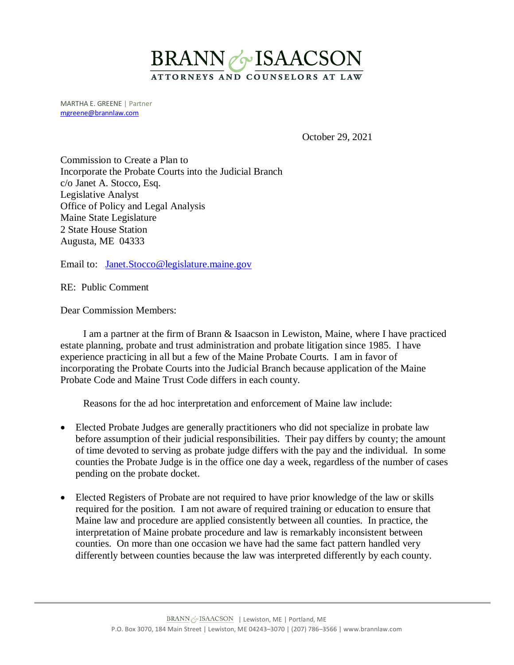

MARTHA E. GREENE | Partner [mgreene@brannlaw.com](mailto:mgreene@brannlaw.com)

October 29, 2021

Commission to Create a Plan to Incorporate the Probate Courts into the Judicial Branch c/o Janet A. Stocco, Esq. Legislative Analyst Office of Policy and Legal Analysis Maine State Legislature 2 State House Station Augusta, ME 04333

Email to: [Janet.Stocco@legislature.maine.gov](mailto:Janet.Stocco@legislature.maine.gov)

RE: Public Comment

Dear Commission Members:

I am a partner at the firm of Brann & Isaacson in Lewiston, Maine, where I have practiced estate planning, probate and trust administration and probate litigation since 1985. I have experience practicing in all but a few of the Maine Probate Courts. I am in favor of incorporating the Probate Courts into the Judicial Branch because application of the Maine Probate Code and Maine Trust Code differs in each county.

Reasons for the ad hoc interpretation and enforcement of Maine law include:

- Elected Probate Judges are generally practitioners who did not specialize in probate law before assumption of their judicial responsibilities. Their pay differs by county; the amount of time devoted to serving as probate judge differs with the pay and the individual. In some counties the Probate Judge is in the office one day a week, regardless of the number of cases pending on the probate docket.
- Elected Registers of Probate are not required to have prior knowledge of the law or skills required for the position. I am not aware of required training or education to ensure that Maine law and procedure are applied consistently between all counties. In practice, the interpretation of Maine probate procedure and law is remarkably inconsistent between counties. On more than one occasion we have had the same fact pattern handled very differently between counties because the law was interpreted differently by each county.